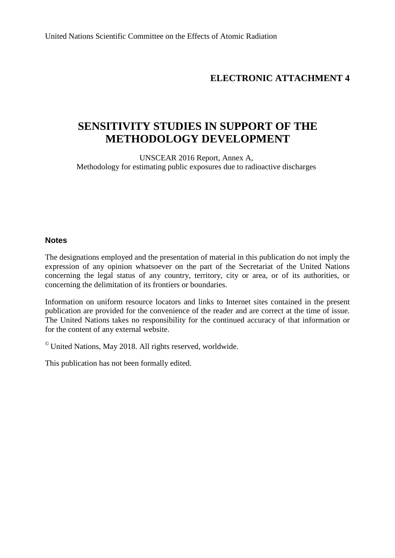United Nations Scientific Committee on the Effects of Atomic Radiation

# **ELECTRONIC ATTACHMENT 4**

# **SENSITIVITY STUDIES IN SUPPORT OF THE METHODOLOGY DEVELOPMENT**

UNSCEAR 2016 Report, Annex A, Methodology for estimating public exposures due to radioactive discharges

#### **Notes**

The designations employed and the presentation of material in this publication do not imply the expression of any opinion whatsoever on the part of the Secretariat of the United Nations concerning the legal status of any country, territory, city or area, or of its authorities, or concerning the delimitation of its frontiers or boundaries.

Information on uniform resource locators and links to Internet sites contained in the present publication are provided for the convenience of the reader and are correct at the time of issue. The United Nations takes no responsibility for the continued accuracy of that information or for the content of any external website.

 $^{\circ}$  United Nations, May 2018. All rights reserved, worldwide.

This publication has not been formally edited.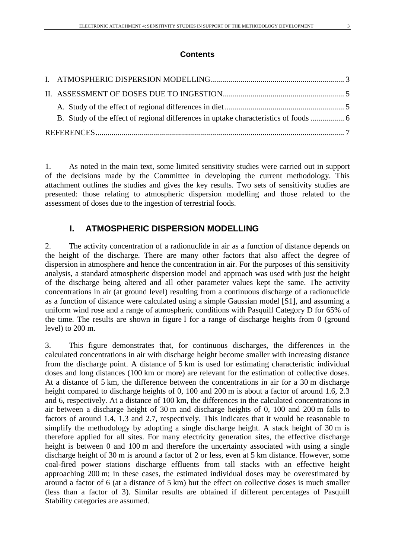#### **Contents**

1. As noted in the main text, some limited sensitivity studies were carried out in support of the decisions made by the Committee in developing the current methodology. This attachment outlines the studies and gives the key results. Two sets of sensitivity studies are presented: those relating to atmospheric dispersion modelling and those related to the assessment of doses due to the ingestion of terrestrial foods.

# <span id="page-2-0"></span>**I. ATMOSPHERIC DISPERSION MODELLING**

2. The activity concentration of a radionuclide in air as a function of distance depends on the height of the discharge. There are many other factors that also affect the degree of dispersion in atmosphere and hence the concentration in air. For the purposes of this sensitivity analysis, a standard atmospheric dispersion model and approach was used with just the height of the discharge being altered and all other parameter values kept the same. The activity concentrations in air (at ground level) resulting from a continuous discharge of a radionuclide as a function of distance were calculated using a simple Gaussian model [S1], and assuming a uniform wind rose and a range of atmospheric conditions with Pasquill Category D for 65% of the time. The results are shown in figure I for a range of discharge heights from 0 (ground level) to 200 m.

3. This figure demonstrates that, for continuous discharges, the differences in the calculated concentrations in air with discharge height become smaller with increasing distance from the discharge point. A distance of 5 km is used for estimating characteristic individual doses and long distances (100 km or more) are relevant for the estimation of collective doses. At a distance of 5 km, the difference between the concentrations in air for a 30 m discharge height compared to discharge heights of 0, 100 and 200 m is about a factor of around 1.6, 2.3 and 6, respectively. At a distance of 100 km, the differences in the calculated concentrations in air between a discharge height of 30 m and discharge heights of 0, 100 and 200 m falls to factors of around 1.4, 1.3 and 2.7, respectively. This indicates that it would be reasonable to simplify the methodology by adopting a single discharge height. A stack height of 30 m is therefore applied for all sites. For many electricity generation sites, the effective discharge height is between 0 and 100 m and therefore the uncertainty associated with using a single discharge height of 30 m is around a factor of 2 or less, even at 5 km distance. However, some coal-fired power stations discharge effluents from tall stacks with an effective height approaching 200 m; in these cases, the estimated individual doses may be overestimated by around a factor of 6 (at a distance of 5 km) but the effect on collective doses is much smaller (less than a factor of 3). Similar results are obtained if different percentages of Pasquill Stability categories are assumed.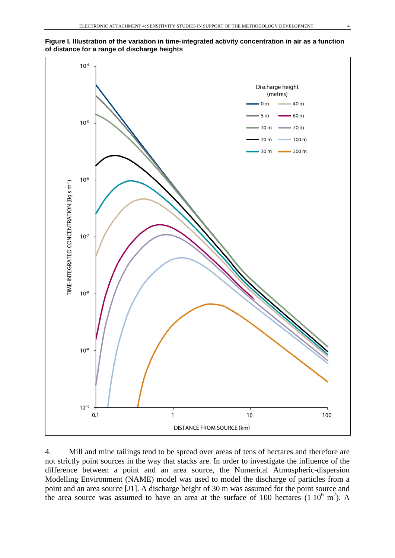



4. Mill and mine tailings tend to be spread over areas of tens of hectares and therefore are not strictly point sources in the way that stacks are. In order to investigate the influence of the difference between a point and an area source, the Numerical Atmospheric-dispersion Modelling Environment (NAME) model was used to model the discharge of particles from a point and an area source [J1]. A discharge height of 30 m was assumed for the point source and the area source was assumed to have an area at the surface of 100 hectares  $(1\ 10^6\ m^2)$ . A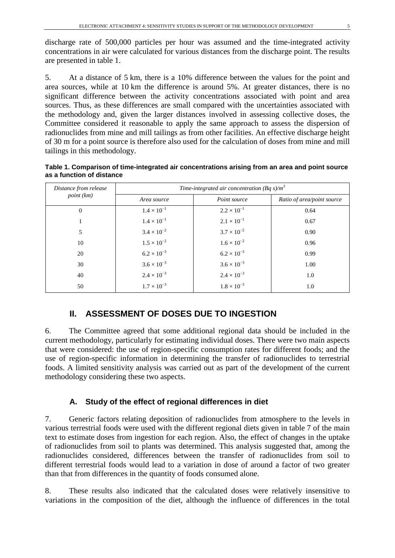discharge rate of 500,000 particles per hour was assumed and the time-integrated activity concentrations in air were calculated for various distances from the discharge point. The results are presented in table 1.

5. At a distance of 5 km, there is a 10% difference between the values for the point and area sources, while at 10 km the difference is around 5%. At greater distances, there is no significant difference between the activity concentrations associated with point and area sources. Thus, as these differences are small compared with the uncertainties associated with the methodology and, given the larger distances involved in assessing collective doses, the Committee considered it reasonable to apply the same approach to assess the dispersion of radionuclides from mine and mill tailings as from other facilities. An effective discharge height of 30 m for a point source is therefore also used for the calculation of doses from mine and mill tailings in this methodology.

**Table 1. Comparison of time-integrated air concentrations arising from an area and point source as a function of distance**

| Distance from release | Time-integrated air concentration (Bq s)/ $m^3$ |                      |                            |  |
|-----------------------|-------------------------------------------------|----------------------|----------------------------|--|
| point (km)            | Area source                                     | Point source         | Ratio of area/point source |  |
| $\theta$              | $1.4 \times 10^{-1}$                            | $2.2 \times 10^{-1}$ | 0.64                       |  |
| 1                     | $1.4 \times 10^{-1}$                            | $2.1 \times 10^{-1}$ | 0.67                       |  |
| 5                     | $3.4 \times 10^{-2}$                            | $3.7 \times 10^{-2}$ | 0.90                       |  |
| 10                    | $1.5 \times 10^{-2}$                            | $1.6 \times 10^{-2}$ | 0.96                       |  |
| 20                    | $6.2 \times 10^{-3}$                            | $6.2 \times 10^{-3}$ | 0.99                       |  |
| 30                    | $3.6 \times 10^{-3}$                            | $3.6 \times 10^{-3}$ | 1.00                       |  |
| 40                    | $2.4 \times 10^{-3}$                            | $2.4 \times 10^{-3}$ | 1.0                        |  |
| 50                    | $1.7 \times 10^{-3}$                            | $1.8 \times 10^{-3}$ | 1.0                        |  |

### <span id="page-4-0"></span>**II. ASSESSMENT OF DOSES DUE TO INGESTION**

6. The Committee agreed that some additional regional data should be included in the current methodology, particularly for estimating individual doses. There were two main aspects that were considered: the use of region-specific consumption rates for different foods; and the use of region-specific information in determining the transfer of radionuclides to terrestrial foods. A limited sensitivity analysis was carried out as part of the development of the current methodology considering these two aspects.

### <span id="page-4-1"></span>**A. Study of the effect of regional differences in diet**

7. Generic factors relating deposition of radionuclides from atmosphere to the levels in various terrestrial foods were used with the different regional diets given in table 7 of the main text to estimate doses from ingestion for each region. Also, the effect of changes in the uptake of radionuclides from soil to plants was determined. This analysis suggested that, among the radionuclides considered, differences between the transfer of radionuclides from soil to different terrestrial foods would lead to a variation in dose of around a factor of two greater than that from differences in the quantity of foods consumed alone.

8. These results also indicated that the calculated doses were relatively insensitive to variations in the composition of the diet, although the influence of differences in the total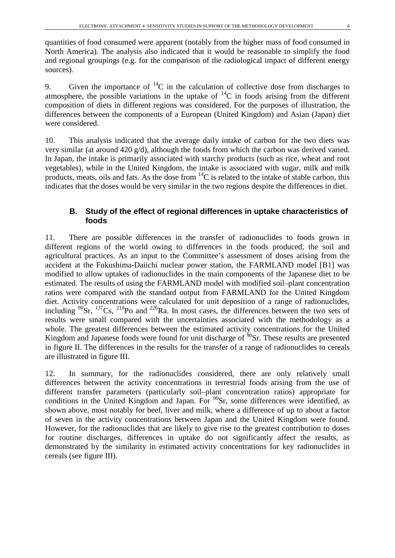quantities of food consumed were apparent (notably from the higher mass of food consumed in North America). The analysis also indicated that it would be reasonable to simplify the food and regional groupings (e.g. for the comparison of the radiological impact of different energy sources).

9. Given the importance of  ${}^{14}C$  in the calculation of collective dose from discharges to atmosphere, the possible variations in the uptake of  $^{14}C$  in foods arising from the different composition of diets in different regions was considered. For the purposes of illustration, the differences between the components of a European (United Kingdom) and Asian (Japan) diet were considered.

10. This analysis indicated that the average daily intake of carbon for the two diets was very similar (at around 420 g/d), although the foods from which the carbon was derived varied. In Japan, the intake is primarily associated with starchy products (such as rice, wheat and root vegetables), while in the United Kingdom, the intake is associated with sugar, milk and milk products, meats, oils and fats. As the dose from  ${}^{14}C$  is related to the intake of stable carbon, this indicates that the doses would be very similar in the two regions despite the differences in diet.

#### <span id="page-5-0"></span>**B. Study of the effect of regional differences in uptake characteristics of foods**

11. There are possible differences in the transfer of radionuclides to foods grown in different regions of the world owing to differences in the foods produced, the soil and agricultural practices. As an input to the Committee's assessment of doses arising from the accident at the Fukushima-Daiichi nuclear power station, the FARMLAND model [B1] was modified to allow uptakes of radionuclides in the main components of the Japanese diet to be estimated. The results of using the FARMLAND model with modified soil–plant concentration ratios were compared with the standard output from FARMLAND for the United Kingdom diet. Activity concentrations were calculated for unit deposition of a range of radionuclides, including  $^{90}$ Sr,  $^{137}$ Cs,  $^{210}$ Po and  $^{226}$ Ra. In most cases, the differences between the two sets of results were small compared with the uncertainties associated with the methodology as a whole. The greatest differences between the estimated activity concentrations for the United Kingdom and Japanese foods were found for unit discharge of  $\frac{50}{9}$ Sr. These results are presented in figure II. The differences in the results for the transfer of a range of radionuclides to cereals are illustrated in figure III.

12. In summary, for the radionuclides considered, there are only relatively small differences between the activity concentrations in terrestrial foods arising from the use of different transfer parameters (particularly soil–plant concentration ratios) appropriate for conditions in the United Kingdom and Japan. For  $^{90}Sr$ , some differences were identified, as shown above, most notably for beef, liver and milk, where a difference of up to about a factor of seven in the activity concentrations between Japan and the United Kingdom were found. However, for the radionuclides that are likely to give rise to the greatest contribution to doses for routine discharges, differences in uptake do not significantly affect the results, as demonstrated by the similarity in estimated activity concentrations for key radionuclides in cereals (see figure III).